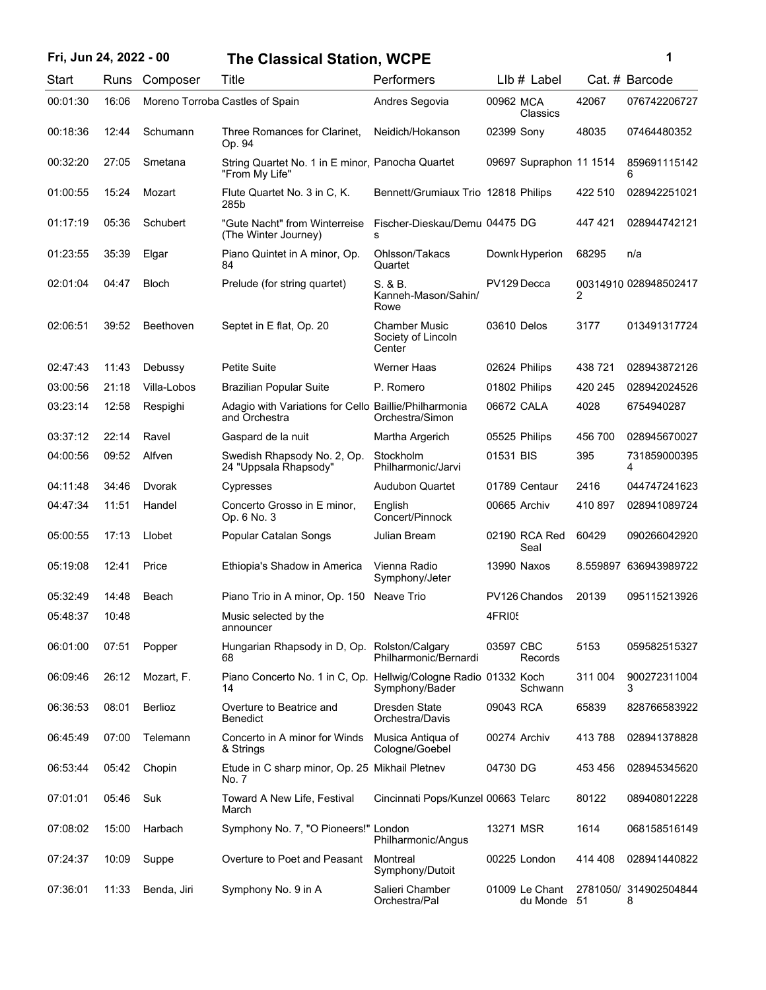## **Fri, Jun 24, 2022 - 00 1 The Classical Station, WCPE**

| ï<br>۰. |  |
|---------|--|
|         |  |
|         |  |

| Start    | Runs  | Composer         | Title                                                                  | Performers                                    | LIb # Label                   |          | Cat. # Barcode             |
|----------|-------|------------------|------------------------------------------------------------------------|-----------------------------------------------|-------------------------------|----------|----------------------------|
| 00:01:30 | 16:06 |                  | Moreno Torroba Castles of Spain                                        | Andres Segovia                                | 00962 MCA<br>Classics         | 42067    | 076742206727               |
| 00:18:36 | 12:44 | Schumann         | Three Romances for Clarinet,<br>Op. 94                                 | Neidich/Hokanson                              | 02399 Sony                    | 48035    | 07464480352                |
| 00:32:20 | 27:05 | Smetana          | String Quartet No. 1 in E minor, Panocha Quartet<br>"From My Life"     |                                               | 09697 Supraphon 11 1514       |          | 859691115142<br>6          |
| 01:00:55 | 15:24 | Mozart           | Flute Quartet No. 3 in C, K.<br>285b                                   | Bennett/Grumiaux Trio 12818 Philips           |                               | 422 510  | 028942251021               |
| 01:17:19 | 05:36 | Schubert         | "Gute Nacht" from Winterreise<br>(The Winter Journey)                  | Fischer-Dieskau/Demu 04475 DG<br>s            |                               | 447421   | 028944742121               |
| 01:23:55 | 35:39 | Elgar            | Piano Quintet in A minor, Op.<br>84                                    | Ohlsson/Takacs<br>Quartet                     | Downk Hyperion                | 68295    | n/a                        |
| 02:01:04 | 04:47 | <b>Bloch</b>     | Prelude (for string quartet)                                           | S. & B.<br>Kanneh-Mason/Sahin/<br>Rowe        | PV129 Decca                   | 2        | 00314910 028948502417      |
| 02:06:51 | 39:52 | <b>Beethoven</b> | Septet in E flat, Op. 20                                               | Chamber Music<br>Society of Lincoln<br>Center | 03610 Delos                   | 3177     | 013491317724               |
| 02:47:43 | 11:43 | Debussy          | <b>Petite Suite</b>                                                    | Werner Haas                                   | 02624 Philips                 | 438721   | 028943872126               |
| 03:00:56 | 21:18 | Villa-Lobos      | <b>Brazilian Popular Suite</b>                                         | P. Romero                                     | 01802 Philips                 | 420 245  | 028942024526               |
| 03:23:14 | 12:58 | Respighi         | Adagio with Variations for Cello Baillie/Philharmonia<br>and Orchestra | Orchestra/Simon                               | 06672 CALA                    | 4028     | 6754940287                 |
| 03:37:12 | 22:14 | Ravel            | Gaspard de la nuit                                                     | Martha Argerich                               | 05525 Philips                 | 456 700  | 028945670027               |
| 04:00:56 | 09:52 | Alfven           | Swedish Rhapsody No. 2, Op.<br>24 "Uppsala Rhapsody"                   | Stockholm<br>Philharmonic/Jarvi               | 01531 BIS                     | 395      | 731859000395<br>4          |
| 04:11:48 | 34:46 | Dvorak           | Cypresses                                                              | <b>Audubon Quartet</b>                        | 01789 Centaur                 | 2416     | 044747241623               |
| 04:47:34 | 11:51 | Handel           | Concerto Grosso in E minor,<br>Op. 6 No. 3                             | English<br>Concert/Pinnock                    | 00665 Archiv                  | 410 897  | 028941089724               |
| 05:00:55 | 17:13 | Llobet           | Popular Catalan Songs                                                  | Julian Bream                                  | 02190 RCA Red<br>Seal         | 60429    | 090266042920               |
| 05:19:08 | 12:41 | Price            | Ethiopia's Shadow in America                                           | Vienna Radio<br>Symphony/Jeter                | 13990 Naxos                   | 8.559897 | 636943989722               |
| 05:32:49 | 14:48 | Beach            | Piano Trio in A minor, Op. 150                                         | Neave Trio                                    | PV126 Chandos                 | 20139    | 095115213926               |
| 05:48:37 | 10:48 |                  | Music selected by the<br>announcer                                     |                                               | 4FRI05                        |          |                            |
| 06:01:00 | 07:51 | Popper           | Hungarian Rhapsody in D, Op. Rolston/Calgary<br>68                     | Philharmonic/Bernardi                         | 03597 CBC<br>Records          | 5153     | 059582515327               |
| 06:09:46 | 26:12 | Mozart, F.       | Piano Concerto No. 1 in C, Op. Hellwig/Cologne Radio 01332 Koch<br>14  | Symphony/Bader                                | Schwann                       | 311 004  | 900272311004<br>3          |
| 06:36:53 | 08:01 | Berlioz          | Overture to Beatrice and<br>Benedict                                   | Dresden State<br>Orchestra/Davis              | 09043 RCA                     | 65839    | 828766583922               |
| 06:45:49 | 07:00 | Telemann         | Concerto in A minor for Winds<br>& Strings                             | Musica Antiqua of<br>Cologne/Goebel           | 00274 Archiv                  | 413788   | 028941378828               |
| 06:53:44 | 05:42 | Chopin           | Etude in C sharp minor, Op. 25 Mikhail Pletnev<br>No. 7                |                                               | 04730 DG                      | 453 456  | 028945345620               |
| 07:01:01 | 05:46 | Suk              | Toward A New Life, Festival<br>March                                   | Cincinnati Pops/Kunzel 00663 Telarc           |                               | 80122    | 089408012228               |
| 07:08:02 | 15:00 | Harbach          | Symphony No. 7, "O Pioneers!" London                                   | Philharmonic/Angus                            | 13271 MSR                     | 1614     | 068158516149               |
| 07:24:37 | 10:09 | Suppe            | Overture to Poet and Peasant                                           | Montreal<br>Symphony/Dutoit                   | 00225 London                  | 414 408  | 028941440822               |
| 07:36:01 | 11:33 | Benda, Jiri      | Symphony No. 9 in A                                                    | Salieri Chamber<br>Orchestra/Pal              | 01009 Le Chant<br>du Monde 51 |          | 2781050/ 314902504844<br>8 |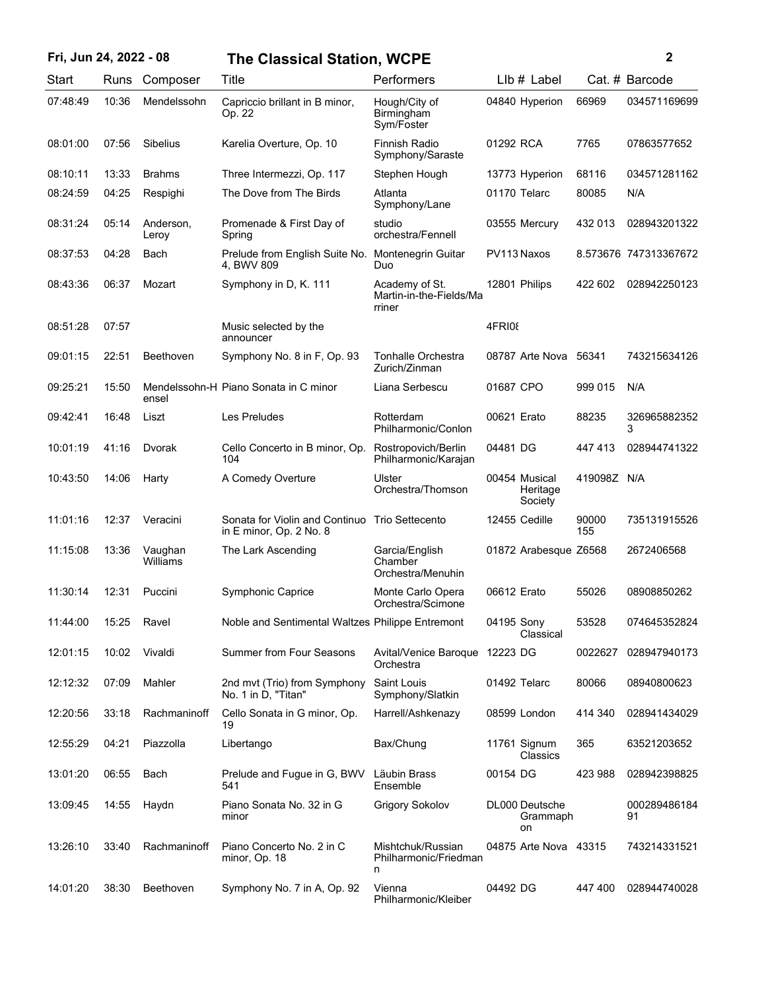| Fri, Jun 24, 2022 - 08 |       |                     | <b>The Classical Station, WCPE</b>                                        |                                                     |               |                                  |              | $\mathbf{2}$          |
|------------------------|-------|---------------------|---------------------------------------------------------------------------|-----------------------------------------------------|---------------|----------------------------------|--------------|-----------------------|
| Start                  | Runs  | Composer            | Title                                                                     | Performers                                          |               | $Llb#$ Label                     |              | Cat. # Barcode        |
| 07:48:49               | 10:36 | Mendelssohn         | Capriccio brillant in B minor,<br>Op. 22                                  | Hough/City of<br>Birmingham<br>Sym/Foster           |               | 04840 Hyperion                   | 66969        | 034571169699          |
| 08:01:00               | 07:56 | <b>Sibelius</b>     | Karelia Overture, Op. 10                                                  | Finnish Radio<br>Symphony/Saraste                   | 01292 RCA     |                                  | 7765         | 07863577652           |
| 08:10:11               | 13:33 | <b>Brahms</b>       | Three Intermezzi, Op. 117                                                 | Stephen Hough                                       |               | 13773 Hyperion                   | 68116        | 034571281162          |
| 08:24:59               | 04:25 | Respighi            | The Dove from The Birds                                                   | Atlanta<br>Symphony/Lane                            | 01170 Telarc  |                                  | 80085        | N/A                   |
| 08:31:24               | 05:14 | Anderson,<br>Leroy  | Promenade & First Day of<br>Spring                                        | studio<br>orchestra/Fennell                         |               | 03555 Mercury                    | 432 013      | 028943201322          |
| 08:37:53               | 04:28 | Bach                | Prelude from English Suite No.<br>4, BWV 809                              | Montenegrin Guitar<br>Duo                           | PV113 Naxos   |                                  |              | 8.573676 747313367672 |
| 08:43:36               | 06:37 | Mozart              | Symphony in D, K. 111                                                     | Academy of St.<br>Martin-in-the-Fields/Ma<br>rriner | 12801 Philips |                                  | 422 602      | 028942250123          |
| 08:51:28               | 07:57 |                     | Music selected by the<br>announcer                                        |                                                     | 4FRI08        |                                  |              |                       |
| 09:01:15               | 22:51 | Beethoven           | Symphony No. 8 in F, Op. 93                                               | Tonhalle Orchestra<br>Zurich/Zinman                 |               | 08787 Arte Nova                  | 56341        | 743215634126          |
| 09:25:21               | 15:50 | ensel               | Mendelssohn-H Piano Sonata in C minor                                     | Liana Serbescu                                      | 01687 CPO     |                                  | 999 015      | N/A                   |
| 09:42:41               | 16:48 | Liszt               | Les Preludes                                                              | Rotterdam<br>Philharmonic/Conlon                    | 00621 Erato   |                                  | 88235        | 326965882352<br>3     |
| 10:01:19               | 41:16 | Dvorak              | Cello Concerto in B minor, Op.<br>104                                     | Rostropovich/Berlin<br>Philharmonic/Karajan         | 04481 DG      |                                  | 447 413      | 028944741322          |
| 10:43:50               | 14:06 | Harty               | A Comedy Overture                                                         | Ulster<br>Orchestra/Thomson                         | 00454 Musical | Heritage<br>Society              | 419098Z N/A  |                       |
| 11:01:16               | 12:37 | Veracini            | Sonata for Violin and Continuo Trio Settecento<br>in E minor, Op. 2 No. 8 |                                                     | 12455 Cedille |                                  | 90000<br>155 | 735131915526          |
| 11:15:08               | 13:36 | Vaughan<br>Williams | The Lark Ascending                                                        | Garcia/English<br>Chamber<br>Orchestra/Menuhin      |               | 01872 Arabesque Z6568            |              | 2672406568            |
| 11:30:14               | 12:31 | Puccini             | Symphonic Caprice                                                         | Monte Carlo Opera<br>Orchestra/Scimone              | 06612 Erato   |                                  | 55026        | 08908850262           |
| 11:44:00               | 15:25 | Ravel               | Noble and Sentimental Waltzes Philippe Entremont                          |                                                     | 04195 Sony    | Classical                        | 53528        | 074645352824          |
| 12:01:15               | 10:02 | Vivaldi             | <b>Summer from Four Seasons</b>                                           | Avital/Venice Baroque 12223 DG<br>Orchestra         |               |                                  | 0022627      | 028947940173          |
| 12:12:32               | 07:09 | Mahler              | 2nd mvt (Trio) from Symphony<br>No. 1 in D, "Titan"                       | Saint Louis<br>Symphony/Slatkin                     | 01492 Telarc  |                                  | 80066        | 08940800623           |
| 12:20:56               | 33:18 | Rachmaninoff        | Cello Sonata in G minor, Op.<br>19                                        | Harrell/Ashkenazy                                   | 08599 London  |                                  | 414 340      | 028941434029          |
| 12:55:29               | 04:21 | Piazzolla           | Libertango                                                                | Bax/Chung                                           | 11761 Signum  | Classics                         | 365          | 63521203652           |
| 13:01:20               | 06:55 | Bach                | Prelude and Fugue in G, BWV<br>541                                        | Läubin Brass<br>Ensemble                            | 00154 DG      |                                  | 423 988      | 028942398825          |
| 13:09:45               | 14:55 | Haydn               | Piano Sonata No. 32 in G<br>minor                                         | <b>Grigory Sokolov</b>                              |               | DL000 Deutsche<br>Grammaph<br>on |              | 000289486184<br>91    |
| 13:26:10               | 33:40 | Rachmaninoff        | Piano Concerto No. 2 in C<br>minor, Op. 18                                | Mishtchuk/Russian<br>Philharmonic/Friedman<br>n     |               | 04875 Arte Nova 43315            |              | 743214331521          |
| 14:01:20               | 38:30 | Beethoven           | Symphony No. 7 in A, Op. 92                                               | Vienna<br>Philharmonic/Kleiber                      | 04492 DG      |                                  | 447 400      | 028944740028          |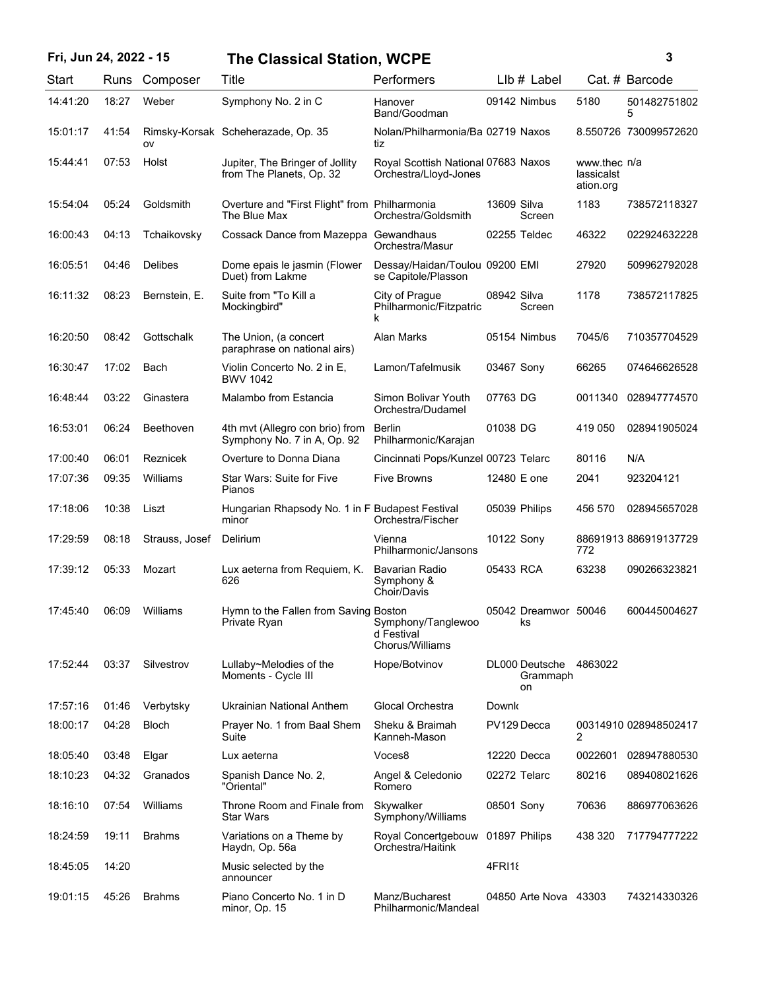## **Fri, Jun 24, 2022 - 15 3 The Classical Station, WCPE**

|  | I |  |
|--|---|--|

| Start    | Runs  | Composer       | Title                                                          | Performers                                                   |             | $Llb#$ Label                     |                                         | Cat. # Barcode        |
|----------|-------|----------------|----------------------------------------------------------------|--------------------------------------------------------------|-------------|----------------------------------|-----------------------------------------|-----------------------|
| 14:41:20 | 18:27 | Weber          | Symphony No. 2 in C                                            | Hanover<br>Band/Goodman                                      |             | 09142 Nimbus                     | 5180                                    | 501482751802<br>5     |
| 15:01:17 | 41:54 | ov             | Rimsky-Korsak Scheherazade, Op. 35                             | Nolan/Philharmonia/Ba 02719 Naxos<br>tiz                     |             |                                  |                                         | 8.550726 730099572620 |
| 15:44:41 | 07:53 | Holst          | Jupiter, The Bringer of Jollity<br>from The Planets, Op. 32    | Royal Scottish National 07683 Naxos<br>Orchestra/Lloyd-Jones |             |                                  | www.thec n/a<br>lassicalst<br>ation.org |                       |
| 15:54:04 | 05:24 | Goldsmith      | Overture and "First Flight" from Philharmonia<br>The Blue Max  | Orchestra/Goldsmith                                          | 13609 Silva | Screen                           | 1183                                    | 738572118327          |
| 16:00:43 | 04:13 | Tchaikovsky    | Cossack Dance from Mazeppa Gewandhaus                          | Orchestra/Masur                                              |             | 02255 Teldec                     | 46322                                   | 022924632228          |
| 16:05:51 | 04:46 | <b>Delibes</b> | Dome epais le jasmin (Flower<br>Duet) from Lakme               | Dessay/Haidan/Toulou 09200 EMI<br>se Capitole/Plasson        |             |                                  | 27920                                   | 509962792028          |
| 16:11:32 | 08:23 | Bernstein, E.  | Suite from "To Kill a<br>Mockingbird"                          | City of Prague<br>Philharmonic/Fitzpatric<br>k               | 08942 Silva | Screen                           | 1178                                    | 738572117825          |
| 16:20:50 | 08:42 | Gottschalk     | The Union, (a concert<br>paraphrase on national airs)          | Alan Marks                                                   |             | 05154 Nimbus                     | 7045/6                                  | 710357704529          |
| 16:30:47 | 17:02 | Bach           | Violin Concerto No. 2 in E,<br><b>BWV 1042</b>                 | Lamon/Tafelmusik                                             | 03467 Sony  |                                  | 66265                                   | 074646626528          |
| 16:48:44 | 03:22 | Ginastera      | Malambo from Estancia                                          | Simon Bolivar Youth<br>Orchestra/Dudamel                     | 07763 DG    |                                  | 0011340                                 | 028947774570          |
| 16:53:01 | 06:24 | Beethoven      | 4th mvt (Allegro con brio) from<br>Symphony No. 7 in A, Op. 92 | Berlin<br>Philharmonic/Karajan                               | 01038 DG    |                                  | 419 050                                 | 028941905024          |
| 17:00:40 | 06:01 | Reznicek       | Overture to Donna Diana                                        | Cincinnati Pops/Kunzel 00723 Telarc                          |             |                                  | 80116                                   | N/A                   |
| 17:07:36 | 09:35 | Williams       | <b>Star Wars: Suite for Five</b><br>Pianos                     | <b>Five Browns</b>                                           |             | 12480 E one                      | 2041                                    | 923204121             |
| 17:18:06 | 10:38 | Liszt          | Hungarian Rhapsody No. 1 in F Budapest Festival<br>minor       | Orchestra/Fischer                                            |             | 05039 Philips                    | 456 570                                 | 028945657028          |
| 17:29:59 | 08:18 | Strauss, Josef | Delirium                                                       | Vienna<br>Philharmonic/Jansons                               | 10122 Sony  |                                  | 772                                     | 88691913 886919137729 |
| 17:39:12 | 05:33 | Mozart         | Lux aeterna from Requiem, K.<br>626                            | <b>Bavarian Radio</b><br>Symphony &<br>Choir/Davis           | 05433 RCA   |                                  | 63238                                   | 090266323821          |
| 17:45:40 | 06:09 | Williams       | Hymn to the Fallen from Saving Boston<br>Private Ryan          | Symphony/Tanglewoo<br>d Festival<br>Chorus/Williams          |             | 05042 Dreamwor 50046<br>ks       |                                         | 600445004627          |
| 17:52:44 | 03:37 | Silvestrov     | Lullaby~Melodies of the<br>Moments - Cycle III                 | Hope/Botvinov                                                |             | DL000 Deutsche<br>Grammaph<br>on | 4863022                                 |                       |
| 17:57:16 | 01:46 | Verbytsky      | Ukrainian National Anthem                                      | Glocal Orchestra                                             | Downk       |                                  |                                         |                       |
| 18:00:17 | 04:28 | <b>Bloch</b>   | Prayer No. 1 from Baal Shem<br>Suite                           | Sheku & Braimah<br>Kanneh-Mason                              |             | PV129 Decca                      | 2                                       | 00314910 028948502417 |
| 18:05:40 | 03:48 | Elgar          | Lux aeterna                                                    | Voces8                                                       |             | 12220 Decca                      | 0022601                                 | 028947880530          |
| 18:10:23 | 04:32 | Granados       | Spanish Dance No. 2,<br>"Oriental"                             | Angel & Celedonio<br>Romero                                  |             | 02272 Telarc                     | 80216                                   | 089408021626          |
| 18:16:10 | 07:54 | Williams       | Throne Room and Finale from<br><b>Star Wars</b>                | Skywalker<br>Symphony/Williams                               | 08501 Sony  |                                  | 70636                                   | 886977063626          |
| 18:24:59 | 19:11 | <b>Brahms</b>  | Variations on a Theme by<br>Haydn, Op. 56a                     | Royal Concertgebouw<br>Orchestra/Haitink                     |             | 01897 Philips                    | 438 320                                 | 717794777222          |
| 18:45:05 | 14:20 |                | Music selected by the<br>announcer                             |                                                              | 4FRI18      |                                  |                                         |                       |
| 19:01:15 | 45:26 | <b>Brahms</b>  | Piano Concerto No. 1 in D<br>minor, Op. 15                     | Manz/Bucharest<br>Philharmonic/Mandeal                       |             | 04850 Arte Nova 43303            |                                         | 743214330326          |